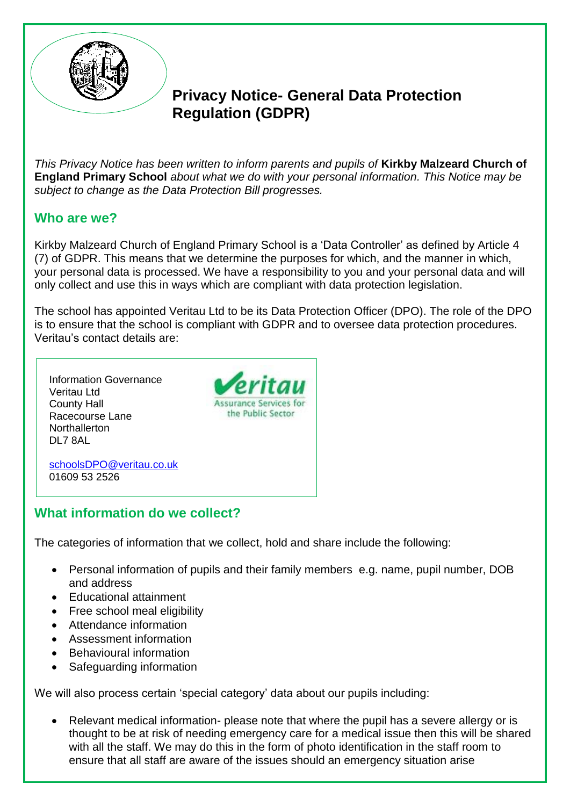

# **Privacy Notice- General Data Protection Regulation (GDPR)**

*This Privacy Notice has been written to inform parents and pupils of* **Kirkby Malzeard Church of England Primary School** *about what we do with your personal information. This Notice may be subject to change as the Data Protection Bill progresses.*

## **Who are we?**

Kirkby Malzeard Church of England Primary School is a 'Data Controller' as defined by Article 4 (7) of GDPR. This means that we determine the purposes for which, and the manner in which, your personal data is processed. We have a responsibility to you and your personal data and will only collect and use this in ways which are compliant with data protection legislation.

The school has appointed Veritau Ltd to be its Data Protection Officer (DPO). The role of the DPO is to ensure that the school is compliant with GDPR and to oversee data protection procedures. Veritau's contact details are:

Information Governance Veritau Ltd County Hall Racecourse Lane **Northallerton** DL7 8AL



[schoolsDPO@veritau.co.uk](mailto:schoolsDPO@veritau.co.uk) 01609 53 2526

## **What information do we collect?**

The categories of information that we collect, hold and share include the following:

- Personal information of pupils and their family members e.g. name, pupil number, DOB and address
- Educational attainment
- Free school meal eligibility
- **Attendance information**
- Assessment information
- Behavioural information
- Safeguarding information

We will also process certain 'special category' data about our pupils including:

 Relevant medical information- please note that where the pupil has a severe allergy or is thought to be at risk of needing emergency care for a medical issue then this will be shared with all the staff. We may do this in the form of photo identification in the staff room to ensure that all staff are aware of the issues should an emergency situation arise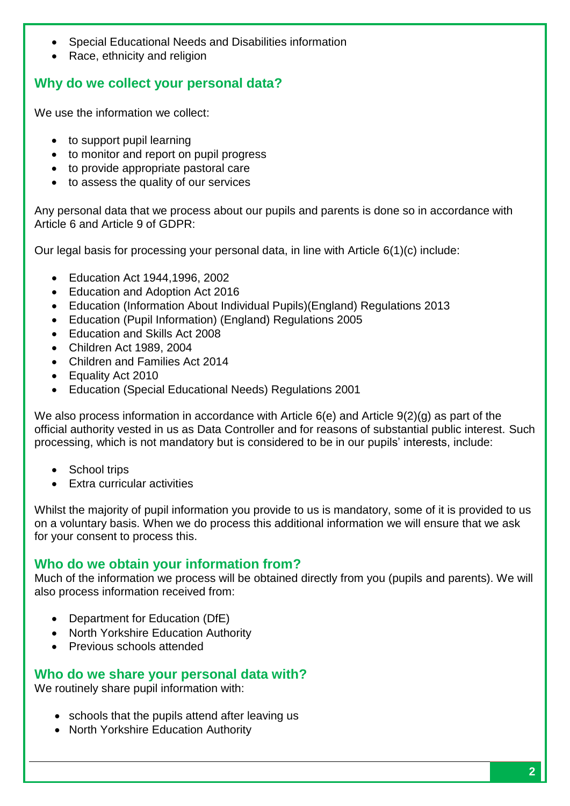- Special Educational Needs and Disabilities information
- Race, ethnicity and religion

### **Why do we collect your personal data?**

We use the information we collect:

- to support pupil learning
- to monitor and report on pupil progress
- to provide appropriate pastoral care
- to assess the quality of our services

Any personal data that we process about our pupils and parents is done so in accordance with Article 6 and Article 9 of GDPR:

Our legal basis for processing your personal data, in line with Article 6(1)(c) include:

- Education Act 1944,1996, 2002
- Education and Adoption Act 2016
- Education (Information About Individual Pupils)(England) Regulations 2013
- Education (Pupil Information) (England) Regulations 2005
- Education and Skills Act 2008
- Children Act 1989, 2004
- Children and Families Act 2014
- Equality Act 2010
- Education (Special Educational Needs) Regulations 2001

We also process information in accordance with Article 6(e) and Article 9(2)(g) as part of the official authority vested in us as Data Controller and for reasons of substantial public interest. Such processing, which is not mandatory but is considered to be in our pupils' interests, include:

- School trips
- Extra curricular activities

Whilst the majority of pupil information you provide to us is mandatory, some of it is provided to us on a voluntary basis. When we do process this additional information we will ensure that we ask for your consent to process this.

### **Who do we obtain your information from?**

Much of the information we process will be obtained directly from you (pupils and parents). We will also process information received from:

- Department for Education (DfE)
- North Yorkshire Education Authority
- Previous schools attended

#### **Who do we share your personal data with?**

We routinely share pupil information with:

- schools that the pupils attend after leaving us
- North Yorkshire Education Authority